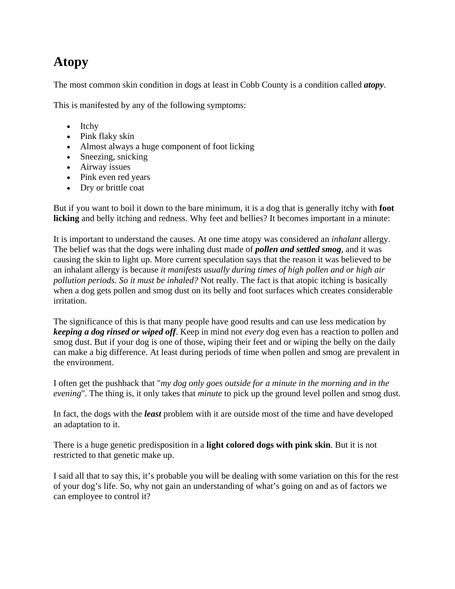## **Atopy**

The most common skin condition in dogs at least in Cobb County is a condition called *atopy*.

This is manifested by any of the following symptoms:

- Itchy
- Pink flaky skin
- Almost always a huge component of foot licking
- Sneezing, snicking
- Airway issues
- Pink even red years
- Dry or brittle coat

But if you want to boil it down to the bare minimum, it is a dog that is generally itchy with **foot licking** and belly itching and redness. Why feet and bellies? It becomes important in a minute:

It is important to understand the causes. At one time atopy was considered an *inhalant* allergy. The belief was that the dogs were inhaling dust made of *pollen and settled smog*, and it was causing the skin to light up. More current speculation says that the reason it was believed to be an inhalant allergy is because *it manifests usually during times of high pollen and or high air pollution periods. So it must be inhaled?* Not really. The fact is that atopic itching is basically when a dog gets pollen and smog dust on its belly and foot surfaces which creates considerable irritation.

The significance of this is that many people have good results and can use less medication by *keeping a dog rinsed or wiped off*. Keep in mind not *every* dog even has a reaction to pollen and smog dust. But if your dog is one of those, wiping their feet and or wiping the belly on the daily can make a big difference. At least during periods of time when pollen and smog are prevalent in the environment.

I often get the pushback that "*my dog only goes outside for a minute in the morning and in the evening*". The thing is, it only takes that *minute* to pick up the ground level pollen and smog dust.

In fact, the dogs with the *least* problem with it are outside most of the time and have developed an adaptation to it.

There is a huge genetic predisposition in a **light colored dogs with pink skin**. But it is not restricted to that genetic make up.

I said all that to say this, it's probable you will be dealing with some variation on this for the rest of your dog's life. So, why not gain an understanding of what's going on and as of factors we can employee to control it?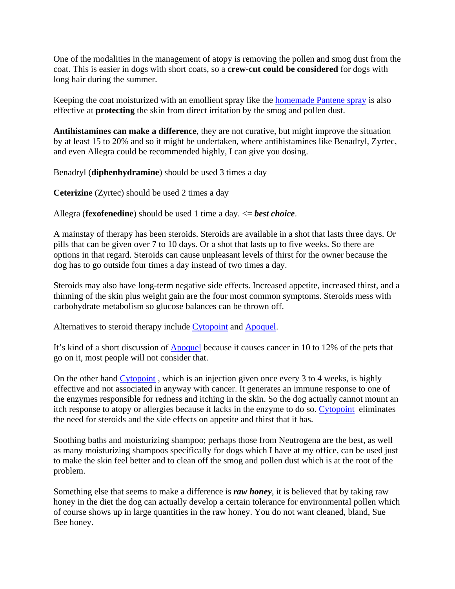One of the modalities in the management of atopy is removing the pollen and smog dust from the coat. This is easier in dogs with short coats, so a **crew-cut could be considered** for dogs with long hair during the summer.

Keeping the coat moisturized with an emollient spray like the homemade Pantene spray is also effective at **protecting** the skin from direct irritation by the smog and pollen dust.

**Antihistamines can make a difference**, they are not curative, but might improve the situation by at least 15 to 20% and so it might be undertaken, where antihistamines like Benadryl, Zyrtec, and even Allegra could be recommended highly, I can give you dosing.

Benadryl (**diphenhydramine**) should be used 3 times a day

**Ceterizine** (Zyrtec) should be used 2 times a day

Allegra (**fexofenedine**) should be used 1 time a day. <= *best choice*.

A mainstay of therapy has been steroids. Steroids are available in a shot that lasts three days. Or pills that can be given over 7 to 10 days. Or a shot that lasts up to five weeks. So there are options in that regard. Steroids can cause unpleasant levels of thirst for the owner because the dog has to go outside four times a day instead of two times a day.

Steroids may also have long-term negative side effects. Increased appetite, increased thirst, and a thinning of the skin plus weight gain are the four most common symptoms. Steroids mess with carbohydrate metabolism so glucose balances can be thrown off.

Alternatives to steroid therapy include Cytopoint and Apoquel.

It's kind of a short discussion of Apoquel because it causes cancer in 10 to 12% of the pets that go on it, most people will not consider that.

On the other hand Cytopoint , which is an injection given once every 3 to 4 weeks, is highly effective and not associated in anyway with cancer. It generates an immune response to one of the enzymes responsible for redness and itching in the skin. So the dog actually cannot mount an itch response to atopy or allergies because it lacks in the enzyme to do so. Cytopoint eliminates the need for steroids and the side effects on appetite and thirst that it has.

Soothing baths and moisturizing shampoo; perhaps those from Neutrogena are the best, as well as many moisturizing shampoos specifically for dogs which I have at my office, can be used just to make the skin feel better and to clean off the smog and pollen dust which is at the root of the problem.

Something else that seems to make a difference is *raw honey*, it is believed that by taking raw honey in the diet the dog can actually develop a certain tolerance for environmental pollen which of course shows up in large quantities in the raw honey. You do not want cleaned, bland, Sue Bee honey.